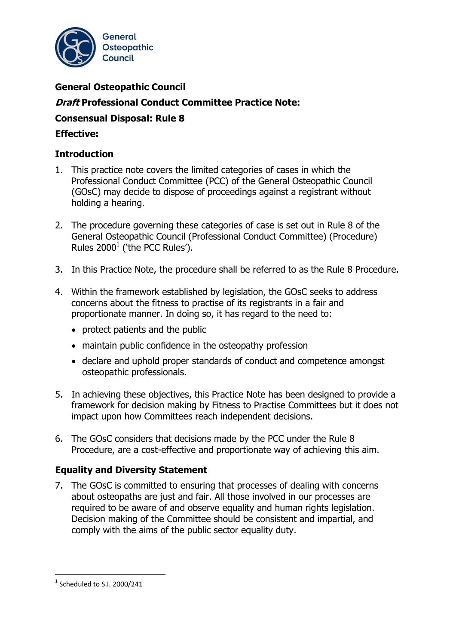

# **General Osteopathic Council Draft Professional Conduct Committee Practice Note: Consensual Disposal: Rule 8 Effective:**

# **Introduction**

- 1. This practice note covers the limited categories of cases in which the Professional Conduct Committee (PCC) of the General Osteopathic Council (GOsC) may decide to dispose of proceedings against a registrant without holding a hearing.
- 2. The procedure governing these categories of case is set out in Rule 8 of the General Osteopathic Council (Professional Conduct Committee) (Procedure) Rules  $2000<sup>1</sup>$  ('the PCC Rules').
- 3. In this Practice Note, the procedure shall be referred to as the Rule 8 Procedure.
- 4. Within the framework established by legislation, the GOsC seeks to address concerns about the fitness to practise of its registrants in a fair and proportionate manner. In doing so, it has regard to the need to:
	- protect patients and the public
	- maintain public confidence in the osteopathy profession
	- declare and uphold proper standards of conduct and competence amongst osteopathic professionals.
- 5. In achieving these objectives, this Practice Note has been designed to provide a framework for decision making by Fitness to Practise Committees but it does not impact upon how Committees reach independent decisions.
- 6. The GOsC considers that decisions made by the PCC under the Rule 8 Procedure, are a cost-effective and proportionate way of achieving this aim.

### **Equality and Diversity Statement**

7. The GOsC is committed to ensuring that processes of dealing with concerns about osteopaths are just and fair. All those involved in our processes are required to be aware of and observe equality and human rights legislation. Decision making of the Committee should be consistent and impartial, and comply with the aims of the public sector equality duty.

-

 $1$  Scheduled to S.I. 2000/241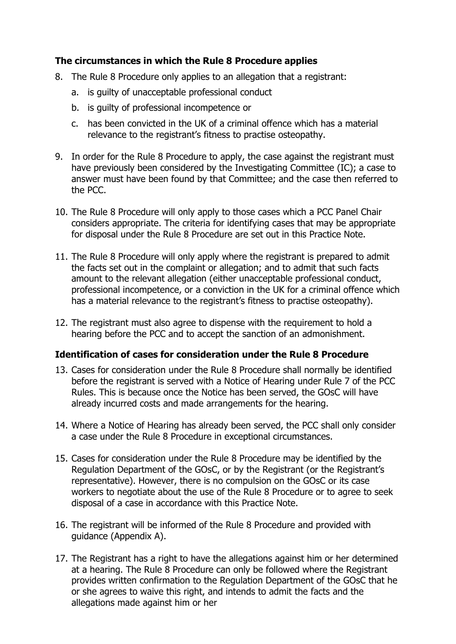# **The circumstances in which the Rule 8 Procedure applies**

- 8. The Rule 8 Procedure only applies to an allegation that a registrant:
	- a. is guilty of unacceptable professional conduct
	- b. is guilty of professional incompetence or
	- c. has been convicted in the UK of a criminal offence which has a material relevance to the registrant's fitness to practise osteopathy.
- 9. In order for the Rule 8 Procedure to apply, the case against the registrant must have previously been considered by the Investigating Committee (IC); a case to answer must have been found by that Committee; and the case then referred to the PCC.
- 10. The Rule 8 Procedure will only apply to those cases which a PCC Panel Chair considers appropriate. The criteria for identifying cases that may be appropriate for disposal under the Rule 8 Procedure are set out in this Practice Note.
- 11. The Rule 8 Procedure will only apply where the registrant is prepared to admit the facts set out in the complaint or allegation; and to admit that such facts amount to the relevant allegation (either unacceptable professional conduct, professional incompetence, or a conviction in the UK for a criminal offence which has a material relevance to the registrant's fitness to practise osteopathy).
- 12. The registrant must also agree to dispense with the requirement to hold a hearing before the PCC and to accept the sanction of an admonishment.

# **Identification of cases for consideration under the Rule 8 Procedure**

- 13. Cases for consideration under the Rule 8 Procedure shall normally be identified before the registrant is served with a Notice of Hearing under Rule 7 of the PCC Rules. This is because once the Notice has been served, the GOsC will have already incurred costs and made arrangements for the hearing.
- 14. Where a Notice of Hearing has already been served, the PCC shall only consider a case under the Rule 8 Procedure in exceptional circumstances.
- 15. Cases for consideration under the Rule 8 Procedure may be identified by the Regulation Department of the GOsC, or by the Registrant (or the Registrant's representative). However, there is no compulsion on the GOsC or its case workers to negotiate about the use of the Rule 8 Procedure or to agree to seek disposal of a case in accordance with this Practice Note.
- 16. The registrant will be informed of the Rule 8 Procedure and provided with guidance (Appendix A).
- 17. The Registrant has a right to have the allegations against him or her determined at a hearing. The Rule 8 Procedure can only be followed where the Registrant provides written confirmation to the Regulation Department of the GOsC that he or she agrees to waive this right, and intends to admit the facts and the allegations made against him or her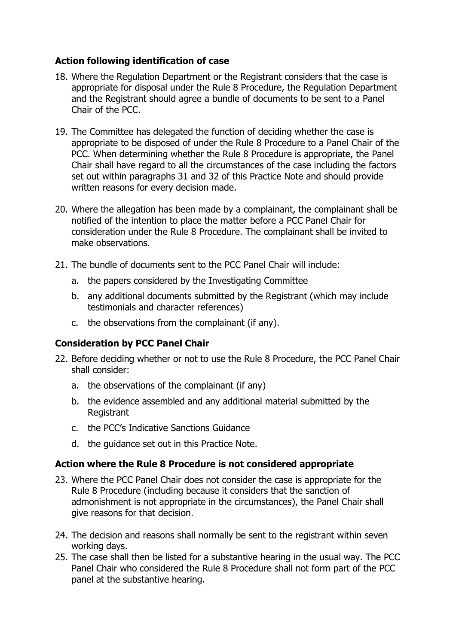# **Action following identification of case**

- 18. Where the Regulation Department or the Registrant considers that the case is appropriate for disposal under the Rule 8 Procedure, the Regulation Department and the Registrant should agree a bundle of documents to be sent to a Panel Chair of the PCC.
- 19. The Committee has delegated the function of deciding whether the case is appropriate to be disposed of under the Rule 8 Procedure to a Panel Chair of the PCC. When determining whether the Rule 8 Procedure is appropriate, the Panel Chair shall have regard to all the circumstances of the case including the factors set out within paragraphs 31 and 32 of this Practice Note and should provide written reasons for every decision made.
- 20. Where the allegation has been made by a complainant, the complainant shall be notified of the intention to place the matter before a PCC Panel Chair for consideration under the Rule 8 Procedure. The complainant shall be invited to make observations.
- 21. The bundle of documents sent to the PCC Panel Chair will include:
	- a. the papers considered by the Investigating Committee
	- b. any additional documents submitted by the Registrant (which may include testimonials and character references)
	- c. the observations from the complainant (if any).

### **Consideration by PCC Panel Chair**

- 22. Before deciding whether or not to use the Rule 8 Procedure, the PCC Panel Chair shall consider:
	- a. the observations of the complainant (if any)
	- b. the evidence assembled and any additional material submitted by the Registrant
	- c. the PCC's Indicative Sanctions Guidance
	- d. the guidance set out in this Practice Note.

### **Action where the Rule 8 Procedure is not considered appropriate**

- 23. Where the PCC Panel Chair does not consider the case is appropriate for the Rule 8 Procedure (including because it considers that the sanction of admonishment is not appropriate in the circumstances), the Panel Chair shall give reasons for that decision.
- 24. The decision and reasons shall normally be sent to the registrant within seven working days.
- 25. The case shall then be listed for a substantive hearing in the usual way. The PCC Panel Chair who considered the Rule 8 Procedure shall not form part of the PCC panel at the substantive hearing.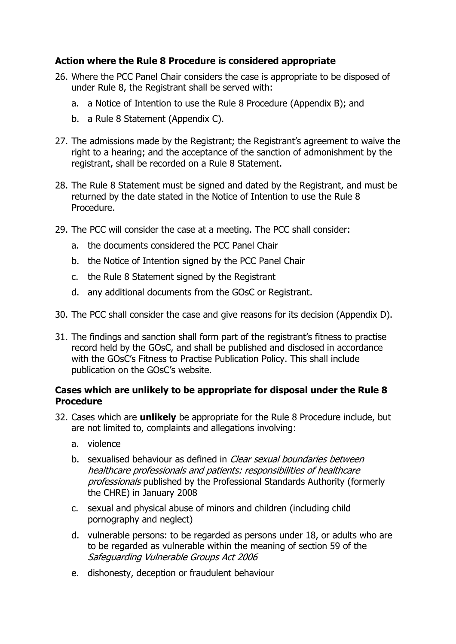# **Action where the Rule 8 Procedure is considered appropriate**

- 26. Where the PCC Panel Chair considers the case is appropriate to be disposed of under Rule 8, the Registrant shall be served with:
	- a. a Notice of Intention to use the Rule 8 Procedure (Appendix B); and
	- b. a Rule 8 Statement (Appendix C).
- 27. The admissions made by the Registrant; the Registrant's agreement to waive the right to a hearing; and the acceptance of the sanction of admonishment by the registrant, shall be recorded on a Rule 8 Statement.
- 28. The Rule 8 Statement must be signed and dated by the Registrant, and must be returned by the date stated in the Notice of Intention to use the Rule 8 Procedure.
- 29. The PCC will consider the case at a meeting. The PCC shall consider:
	- a. the documents considered the PCC Panel Chair
	- b. the Notice of Intention signed by the PCC Panel Chair
	- c. the Rule 8 Statement signed by the Registrant
	- d. any additional documents from the GOsC or Registrant.
- 30. The PCC shall consider the case and give reasons for its decision (Appendix D).
- 31. The findings and sanction shall form part of the registrant's fitness to practise record held by the GOsC, and shall be published and disclosed in accordance with the GOsC's Fitness to Practise Publication Policy. This shall include publication on the GOsC's website.

### **Cases which are unlikely to be appropriate for disposal under the Rule 8 Procedure**

- 32. Cases which are **unlikely** be appropriate for the Rule 8 Procedure include, but are not limited to, complaints and allegations involving:
	- a. violence
	- b. sexualised behaviour as defined in *Clear sexual boundaries between* healthcare professionals and patients: responsibilities of healthcare professionals published by the Professional Standards Authority (formerly the CHRE) in January 2008
	- c. sexual and physical abuse of minors and children (including child pornography and neglect)
	- d. vulnerable persons: to be regarded as persons under 18, or adults who are to be regarded as vulnerable within the meaning of section 59 of the Safeguarding Vulnerable Groups Act 2006
	- e. dishonesty, deception or fraudulent behaviour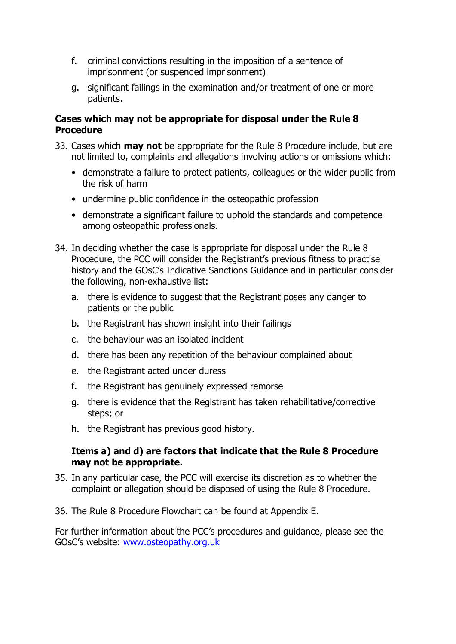- f. criminal convictions resulting in the imposition of a sentence of imprisonment (or suspended imprisonment)
- g. significant failings in the examination and/or treatment of one or more patients.

# **Cases which may not be appropriate for disposal under the Rule 8 Procedure**

- 33. Cases which **may not** be appropriate for the Rule 8 Procedure include, but are not limited to, complaints and allegations involving actions or omissions which:
	- demonstrate a failure to protect patients, colleagues or the wider public from the risk of harm
	- undermine public confidence in the osteopathic profession
	- demonstrate a significant failure to uphold the standards and competence among osteopathic professionals.
- 34. In deciding whether the case is appropriate for disposal under the Rule 8 Procedure, the PCC will consider the Registrant's previous fitness to practise history and the GOsC's Indicative Sanctions Guidance and in particular consider the following, non-exhaustive list:
	- a. there is evidence to suggest that the Registrant poses any danger to patients or the public
	- b. the Registrant has shown insight into their failings
	- c. the behaviour was an isolated incident
	- d. there has been any repetition of the behaviour complained about
	- e. the Registrant acted under duress
	- f. the Registrant has genuinely expressed remorse
	- g. there is evidence that the Registrant has taken rehabilitative/corrective steps; or
	- h. the Registrant has previous good history.

### **Items a) and d) are factors that indicate that the Rule 8 Procedure may not be appropriate.**

- 35. In any particular case, the PCC will exercise its discretion as to whether the complaint or allegation should be disposed of using the Rule 8 Procedure.
- 36. The Rule 8 Procedure Flowchart can be found at Appendix E.

For further information about the PCC's procedures and guidance, please see the GOsC's website: [www.osteopathy.org.uk](http://www.osteopathy.org.uk/)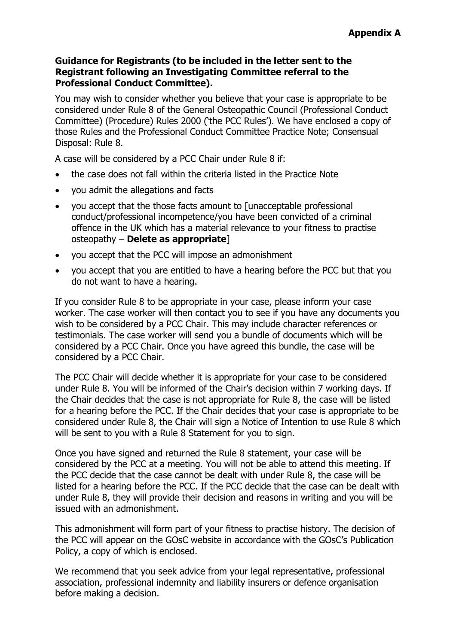#### **Guidance for Registrants (to be included in the letter sent to the Registrant following an Investigating Committee referral to the Professional Conduct Committee).**

You may wish to consider whether you believe that your case is appropriate to be considered under Rule 8 of the General Osteopathic Council (Professional Conduct Committee) (Procedure) Rules 2000 ('the PCC Rules'). We have enclosed a copy of those Rules and the Professional Conduct Committee Practice Note; Consensual Disposal: Rule 8.

A case will be considered by a PCC Chair under Rule 8 if:

- the case does not fall within the criteria listed in the Practice Note
- you admit the allegations and facts
- you accept that the those facts amount to [unacceptable professional conduct/professional incompetence/you have been convicted of a criminal offence in the UK which has a material relevance to your fitness to practise osteopathy – **Delete as appropriate**]
- you accept that the PCC will impose an admonishment
- you accept that you are entitled to have a hearing before the PCC but that you do not want to have a hearing.

If you consider Rule 8 to be appropriate in your case, please inform your case worker. The case worker will then contact you to see if you have any documents you wish to be considered by a PCC Chair. This may include character references or testimonials. The case worker will send you a bundle of documents which will be considered by a PCC Chair. Once you have agreed this bundle, the case will be considered by a PCC Chair.

The PCC Chair will decide whether it is appropriate for your case to be considered under Rule 8. You will be informed of the Chair's decision within 7 working days. If the Chair decides that the case is not appropriate for Rule 8, the case will be listed for a hearing before the PCC. If the Chair decides that your case is appropriate to be considered under Rule 8, the Chair will sign a Notice of Intention to use Rule 8 which will be sent to you with a Rule 8 Statement for you to sign.

Once you have signed and returned the Rule 8 statement, your case will be considered by the PCC at a meeting. You will not be able to attend this meeting. If the PCC decide that the case cannot be dealt with under Rule 8, the case will be listed for a hearing before the PCC. If the PCC decide that the case can be dealt with under Rule 8, they will provide their decision and reasons in writing and you will be issued with an admonishment.

This admonishment will form part of your fitness to practise history. The decision of the PCC will appear on the GOsC website in accordance with the GOsC's Publication Policy, a copy of which is enclosed.

We recommend that you seek advice from your legal representative, professional association, professional indemnity and liability insurers or defence organisation before making a decision.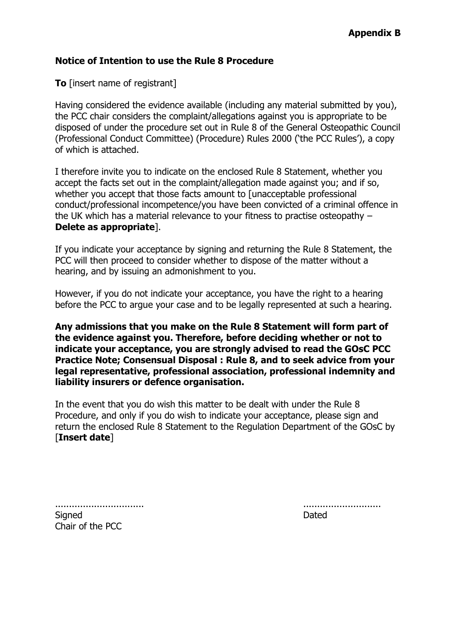#### **Notice of Intention to use the Rule 8 Procedure**

**To** [insert name of registrant]

Having considered the evidence available (including any material submitted by you), the PCC chair considers the complaint/allegations against you is appropriate to be disposed of under the procedure set out in Rule 8 of the General Osteopathic Council (Professional Conduct Committee) (Procedure) Rules 2000 ('the PCC Rules'), a copy of which is attached.

I therefore invite you to indicate on the enclosed Rule 8 Statement, whether you accept the facts set out in the complaint/allegation made against you; and if so, whether you accept that those facts amount to [unacceptable professional conduct/professional incompetence/you have been convicted of a criminal offence in the UK which has a material relevance to your fitness to practise osteopathy – **Delete as appropriate**].

If you indicate your acceptance by signing and returning the Rule 8 Statement, the PCC will then proceed to consider whether to dispose of the matter without a hearing, and by issuing an admonishment to you.

However, if you do not indicate your acceptance, you have the right to a hearing before the PCC to argue your case and to be legally represented at such a hearing.

**Any admissions that you make on the Rule 8 Statement will form part of the evidence against you. Therefore, before deciding whether or not to indicate your acceptance, you are strongly advised to read the GOsC PCC Practice Note; Consensual Disposal : Rule 8, and to seek advice from your legal representative, professional association, professional indemnity and liability insurers or defence organisation.** 

In the event that you do wish this matter to be dealt with under the Rule 8 Procedure, and only if you do wish to indicate your acceptance, please sign and return the enclosed Rule 8 Statement to the Regulation Department of the GOsC by [**Insert date**]

................................ ............................

Signed **Dated** 

Chair of the PCC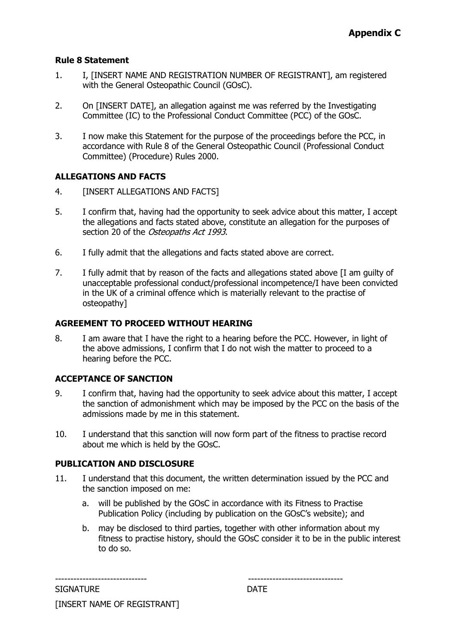#### **Rule 8 Statement**

- 1. I, [INSERT NAME AND REGISTRATION NUMBER OF REGISTRANT], am registered with the General Osteopathic Council (GOsC).
- 2. On [INSERT DATE], an allegation against me was referred by the Investigating Committee (IC) to the Professional Conduct Committee (PCC) of the GOsC.
- 3. I now make this Statement for the purpose of the proceedings before the PCC, in accordance with Rule 8 of the General Osteopathic Council (Professional Conduct Committee) (Procedure) Rules 2000.

#### **ALLEGATIONS AND FACTS**

- 4. [INSERT ALLEGATIONS AND FACTS]
- 5. I confirm that, having had the opportunity to seek advice about this matter, I accept the allegations and facts stated above, constitute an allegation for the purposes of section 20 of the *Osteopaths Act 1993*.
- 6. I fully admit that the allegations and facts stated above are correct.
- 7. I fully admit that by reason of the facts and allegations stated above [I am guilty of unacceptable professional conduct/professional incompetence/I have been convicted in the UK of a criminal offence which is materially relevant to the practise of osteopathy]

#### **AGREEMENT TO PROCEED WITHOUT HEARING**

8. I am aware that I have the right to a hearing before the PCC. However, in light of the above admissions, I confirm that I do not wish the matter to proceed to a hearing before the PCC.

#### **ACCEPTANCE OF SANCTION**

- 9. I confirm that, having had the opportunity to seek advice about this matter, I accept the sanction of admonishment which may be imposed by the PCC on the basis of the admissions made by me in this statement.
- 10. I understand that this sanction will now form part of the fitness to practise record about me which is held by the GOsC.

#### **PUBLICATION AND DISCLOSURE**

- 11. I understand that this document, the written determination issued by the PCC and the sanction imposed on me:
	- a. will be published by the GOsC in accordance with its Fitness to Practise Publication Policy (including by publication on the GOsC's website); and
	- b. may be disclosed to third parties, together with other information about my fitness to practise history, should the GOsC consider it to be in the public interest to do so.

| <b>SIGNATURE</b>            | <b>DATE</b> |
|-----------------------------|-------------|
| [INSERT NAME OF REGISTRANT] |             |

------------------------------ -------------------------------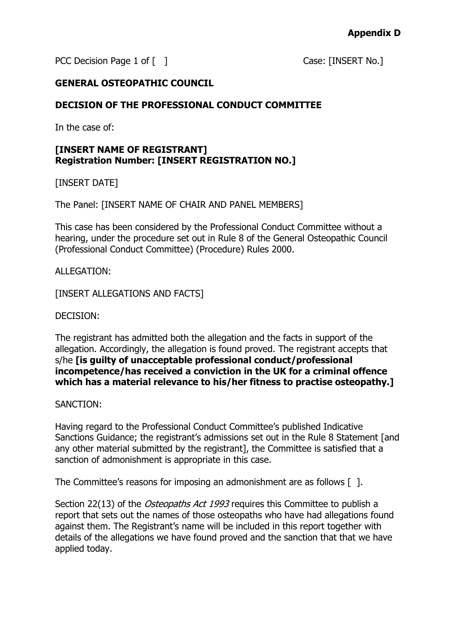PCC Decision Page 1 of [ ] Case: [INSERT No.]

### **GENERAL OSTEOPATHIC COUNCIL**

### **DECISION OF THE PROFESSIONAL CONDUCT COMMITTEE**

In the case of:

### **[INSERT NAME OF REGISTRANT] Registration Number: [INSERT REGISTRATION NO.]**

[INSERT DATE]

The Panel: [INSERT NAME OF CHAIR AND PANEL MEMBERS]

This case has been considered by the Professional Conduct Committee without a hearing, under the procedure set out in Rule 8 of the General Osteopathic Council (Professional Conduct Committee) (Procedure) Rules 2000.

ALLEGATION:

[INSERT ALLEGATIONS AND FACTS]

DECISION:

The registrant has admitted both the allegation and the facts in support of the allegation. Accordingly, the allegation is found proved. The registrant accepts that s/he **[is guilty of unacceptable professional conduct/professional incompetence/has received a conviction in the UK for a criminal offence which has a material relevance to his/her fitness to practise osteopathy.]**

SANCTION:

Having regard to the Professional Conduct Committee's published Indicative Sanctions Guidance; the registrant's admissions set out in the Rule 8 Statement [and any other material submitted by the registrant], the Committee is satisfied that a sanction of admonishment is appropriate in this case.

The Committee's reasons for imposing an admonishment are as follows [1.1].

Section 22(13) of the Osteopaths Act 1993 requires this Committee to publish a report that sets out the names of those osteopaths who have had allegations found against them. The Registrant's name will be included in this report together with details of the allegations we have found proved and the sanction that that we have applied today.